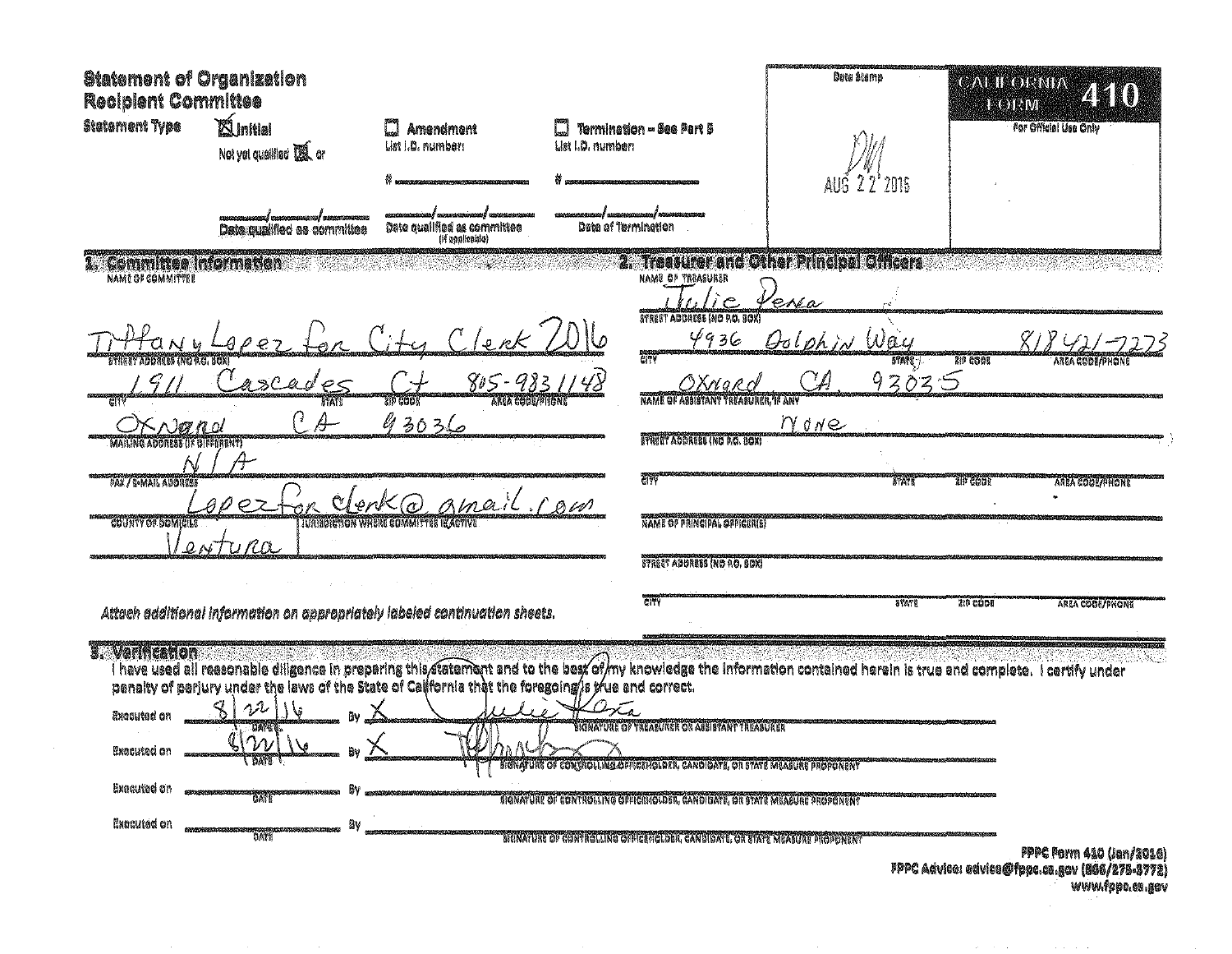| <b>Statement of Organization</b><br><b>Recipient Committee</b> |                                                     |                                                                                                      |                                                                                                                                                                        | Onto Starno                            | <b>GALIKORNIA</b><br>250<br><b>LEOTRIVI</b>              |
|----------------------------------------------------------------|-----------------------------------------------------|------------------------------------------------------------------------------------------------------|------------------------------------------------------------------------------------------------------------------------------------------------------------------------|----------------------------------------|----------------------------------------------------------|
| Statement Type                                                 | <b>Xinitial</b><br>Not yet qualified <b>US</b> , or | <b>Amendmant</b><br>C.<br>List I.D. number:                                                          | Termination - See Part 5<br>List I.D. number:                                                                                                                          |                                        | <b>For Official Use Only</b>                             |
|                                                                | Date qualified as committee                         | Date qualified as committee                                                                          | Data of Termination                                                                                                                                                    | AUG<br>22'2016                         |                                                          |
| Committee information<br><b>NAME OF COMMITTEE</b>              |                                                     | (if sealicable)                                                                                      | NAME OF TREASURER                                                                                                                                                      | Treasurer and Other Principal Officers |                                                          |
|                                                                |                                                     |                                                                                                      | STREET ADDRESS INC P.O. SOX!                                                                                                                                           | en o                                   |                                                          |
| BTARTT ABDRESS (NG 4G, BOX)                                    |                                                     | 'e nk                                                                                                | 4936<br>randa<br>City                                                                                                                                                  | Oolphin Way<br>5708                    | <b>Sip GOOD</b><br>AREA CODE/PHON                        |
|                                                                | ascad                                               | 805-9<br>zip code<br>ANCA COOL/PIGNI                                                                 | 3 X n a R<br>NAME OF ABBISTANT TREASUNER, IF ANY                                                                                                                       | 93035                                  |                                                          |
| のれい<br><b>CLADORERS AS BIRRARNY</b><br>MAILIN                  | Ą.                                                  | 93036                                                                                                | <b>BYRKET ADDRESS (ND R.C. BOX)</b>                                                                                                                                    | MONe                                   |                                                          |
| <b>FAX / E-MAIL ABORESE</b>                                    |                                                     | amail rom<br>QepK                                                                                    | Thy c                                                                                                                                                                  | <b>THAM</b>                            | TIF COOL<br><b>AREA COOLARIONE</b>                       |
| COUNTY OF DOMICILE<br>$\mathcal{Q}$                            | NTUROL                                              | IVAISDICTION WHERE COMMITTEE IS ACTIVI                                                               | NAME OF PRINCIPAL OFFICERIS!                                                                                                                                           |                                        |                                                          |
|                                                                |                                                     |                                                                                                      | STREET ADDRESS (NO NO. GOX)                                                                                                                                            |                                        |                                                          |
|                                                                |                                                     | Attach additional information on appropriately labeled continuation sheets.                          | <b>GITY</b>                                                                                                                                                            | <b>8TA78</b>                           | <b>ZID CODE</b><br><b>AREA COOR/PNONE</b>                |
| <b>B. Verificacion</b>                                         |                                                     | penalty of perjury under the laws of the State of California that the foregoing/is true and correct. | I have used all reasonable diligence in preparing this atermant and to the best of my knowledge the information contained herein is true and complete. I certify under |                                        |                                                          |
| Exceuted on                                                    | 22<br>DANE                                          |                                                                                                      | HONATURE OF TREASURER OR ASSISTANT TREASURER                                                                                                                           |                                        |                                                          |
| Executed on                                                    | $\gamma_{\Lambda}$<br><b>DATE</b>                   |                                                                                                      | BIGNATURE OF CONTROLLING OFFICEHOLDER, CANDIDATE, OR STATE MEASURE PROPONENT                                                                                           |                                        |                                                          |
| Executed on                                                    | UA K<br>Bм                                          |                                                                                                      | signature of Controlling Officierolder, Candidate, or state measure proponent                                                                                          |                                        |                                                          |
| Excelled on                                                    | <b>DATE</b>                                         |                                                                                                      | BIONATURE OF CONTROLLING OF FEEHOLDER, CANDIDATE, OR STATE MEASURE PROPONENT                                                                                           |                                        | <b>PPPC Form 410 (Jan/2016)</b><br>. <i>de m</i> . n. m. |

, 1996 Advice: edvice@fppc.ca.gov (866/275-3772<br>www.fppc.ca.gov

 $\mathcal{A}(\mathbf{z})$  , we can also assume that  $\mathcal{A}(\mathbf{z})$